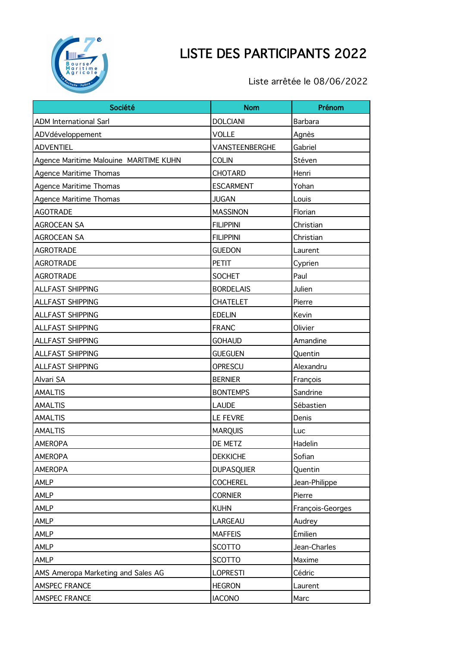

## LISTE DES PARTICIPANTS 2022

Liste arrêtée le 08/06/2022

| Société                                | <b>Nom</b>        | Prénom           |
|----------------------------------------|-------------------|------------------|
| <b>ADM International Sarl</b>          | <b>DOLCIANI</b>   | <b>Barbara</b>   |
| ADVdéveloppement                       | <b>VOLLE</b>      | Agnès            |
| <b>ADVENTIEL</b>                       | VANSTEENBERGHE    | Gabriel          |
| Agence Maritime Malouine MARITIME KUHN | <b>COLIN</b>      | Stéven           |
| <b>Agence Maritime Thomas</b>          | <b>CHOTARD</b>    | Henri            |
| Agence Maritime Thomas                 | <b>ESCARMENT</b>  | Yohan            |
| <b>Agence Maritime Thomas</b>          | <b>JUGAN</b>      | Louis            |
| <b>AGOTRADE</b>                        | <b>MASSINON</b>   | Florian          |
| <b>AGROCEAN SA</b>                     | <b>FILIPPINI</b>  | Christian        |
| <b>AGROCEAN SA</b>                     | <b>FILIPPINI</b>  | Christian        |
| <b>AGROTRADE</b>                       | <b>GUEDON</b>     | Laurent          |
| <b>AGROTRADE</b>                       | <b>PETIT</b>      | Cyprien          |
| <b>AGROTRADE</b>                       | <b>SOCHET</b>     | Paul             |
| ALLFAST SHIPPING                       | <b>BORDELAIS</b>  | Julien           |
| <b>ALLFAST SHIPPING</b>                | <b>CHATELET</b>   | Pierre           |
| ALLFAST SHIPPING                       | <b>EDELIN</b>     | Kevin            |
| ALLFAST SHIPPING                       | <b>FRANC</b>      | Olivier          |
| <b>ALLFAST SHIPPING</b>                | <b>GOHAUD</b>     | Amandine         |
| ALLFAST SHIPPING                       | <b>GUEGUEN</b>    | Quentin          |
| ALLFAST SHIPPING                       | OPRESCU           | Alexandru        |
| Alvari SA                              | <b>BERNIER</b>    | François         |
| <b>AMALTIS</b>                         | <b>BONTEMPS</b>   | Sandrine         |
| <b>AMALTIS</b>                         | <b>LAUDE</b>      | Sébastien        |
| <b>AMALTIS</b>                         | <b>LE FEVRE</b>   | Denis            |
| <b>AMALTIS</b>                         | <b>MARQUIS</b>    | Luc              |
| <b>AMEROPA</b>                         | DE METZ           | Hadelin          |
| AMEROPA                                | <b>DEKKICHE</b>   | Sofian           |
| <b>AMEROPA</b>                         | <b>DUPASQUIER</b> | Quentin          |
| AMLP                                   | <b>COCHEREL</b>   | Jean-Philippe    |
| AMLP                                   | <b>CORNIER</b>    | Pierre           |
| AMLP                                   | <b>KUHN</b>       | François-Georges |
| AMLP                                   | LARGEAU           | Audrey           |
| AMLP                                   | <b>MAFFEIS</b>    | Émilien          |
| AMLP                                   | <b>SCOTTO</b>     | Jean-Charles     |
| AMLP                                   | <b>SCOTTO</b>     | Maxime           |
| AMS Ameropa Marketing and Sales AG     | <b>LOPRESTI</b>   | Cédric           |
| AMSPEC FRANCE                          | <b>HEGRON</b>     | Laurent          |
| AMSPEC FRANCE                          | <b>IACONO</b>     | Marc             |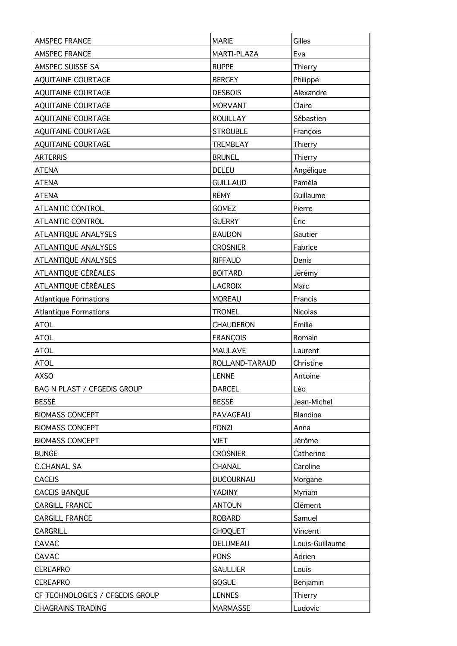| AMSPEC FRANCE                   | <b>MARIE</b>     | Gilles          |
|---------------------------------|------------------|-----------------|
| AMSPEC FRANCE                   | MARTI-PLAZA      | Eva             |
| AMSPEC SUISSE SA                | <b>RUPPE</b>     | Thierry         |
| AQUITAINE COURTAGE              | <b>BERGEY</b>    | Philippe        |
| AQUITAINE COURTAGE              | <b>DESBOIS</b>   | Alexandre       |
| AQUITAINE COURTAGE              | <b>MORVANT</b>   | Claire          |
| AQUITAINE COURTAGE              | <b>ROUILLAY</b>  | Sébastien       |
| <b>AQUITAINE COURTAGE</b>       | <b>STROUBLE</b>  | François        |
| AQUITAINE COURTAGE              | <b>TREMBLAY</b>  | Thierry         |
| <b>ARTERRIS</b>                 | <b>BRUNEL</b>    | Thierry         |
| <b>ATENA</b>                    | <b>DELEU</b>     | Angélique       |
| <b>ATENA</b>                    | <b>GUILLAUD</b>  | Paméla          |
| <b>ATENA</b>                    | RÉMY             | Guillaume       |
| ATLANTIC CONTROL                | <b>GOMEZ</b>     | Pierre          |
| ATLANTIC CONTROL                | <b>GUERRY</b>    | Éric            |
| ATLANTIQUE ANALYSES             | <b>BAUDON</b>    | Gautier         |
| ATLANTIQUE ANALYSES             | <b>CROSNIER</b>  | Fabrice         |
| ATLANTIQUE ANALYSES             | <b>RIFFAUD</b>   | Denis           |
| ATLANTIQUE CÉRÉALES             | <b>BOITARD</b>   | Jérémy          |
| ATLANTIQUE CÉRÉALES             | <b>LACROIX</b>   | Marc            |
| <b>Atlantique Formations</b>    | <b>MOREAU</b>    | Francis         |
| <b>Atlantique Formations</b>    | <b>TRONEL</b>    | Nicolas         |
| <b>ATOL</b>                     | <b>CHAUDERON</b> | Émilie          |
| <b>ATOL</b>                     | <b>FRANÇOIS</b>  | Romain          |
| <b>ATOL</b>                     | <b>MAULAVE</b>   | Laurent         |
| <b>ATOL</b>                     | ROLLAND-TARAUD   | Christine       |
| <b>AXSO</b>                     | LENNE            | Antoine         |
| BAG N PLAST / CFGEDIS GROUP     | <b>DARCEL</b>    | Léo             |
| <b>BESSÉ</b>                    | BESSÉ            | Jean-Michel     |
| <b>BIOMASS CONCEPT</b>          | PAVAGEAU         | Blandine        |
| <b>BIOMASS CONCEPT</b>          | <b>PONZI</b>     | Anna            |
| <b>BIOMASS CONCEPT</b>          | <b>VIET</b>      | Jérôme          |
| <b>BUNGE</b>                    | <b>CROSNIER</b>  | Catherine       |
| <b>C.CHANAL SA</b>              | CHANAL           | Caroline        |
| <b>CACEIS</b>                   | <b>DUCOURNAU</b> | Morgane         |
| CACEIS BANQUE                   | YADINY           | Myriam          |
| CARGILL FRANCE                  | <b>ANTOUN</b>    | Clément         |
| <b>CARGILL FRANCE</b>           | <b>ROBARD</b>    | Samuel          |
| <b>CARGRILL</b>                 | <b>CHOQUET</b>   | Vincent         |
| CAVAC                           | DELUMEAU         | Louis-Guillaume |
| CAVAC                           | <b>PONS</b>      | Adrien          |
| <b>CEREAPRO</b>                 | <b>GAULLIER</b>  | Louis           |
| CEREAPRO                        | <b>GOGUE</b>     | Benjamin        |
| CF TECHNOLOGIES / CFGEDIS GROUP | <b>LENNES</b>    | Thierry         |
| <b>CHAGRAINS TRADING</b>        | MARMASSE         | Ludovic         |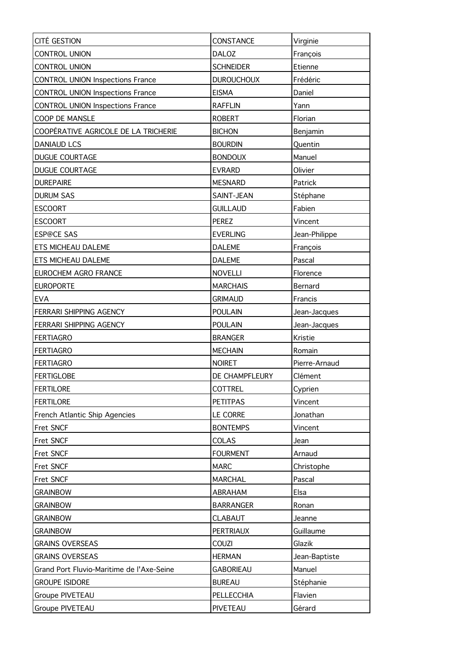| CITÉ GESTION                              | CONSTANCE         | Virginie      |
|-------------------------------------------|-------------------|---------------|
| <b>CONTROL UNION</b>                      | <b>DALOZ</b>      | François      |
| <b>CONTROL UNION</b>                      | <b>SCHNEIDER</b>  | Etienne       |
| <b>CONTROL UNION Inspections France</b>   | <b>DUROUCHOUX</b> | Frédéric      |
| <b>CONTROL UNION Inspections France</b>   | <b>EISMA</b>      | Daniel        |
| <b>CONTROL UNION Inspections France</b>   | <b>RAFFLIN</b>    | Yann          |
| COOP DE MANSLE                            | <b>ROBERT</b>     | Florian       |
| COOPÉRATIVE AGRICOLE DE LA TRICHERIE      | <b>BICHON</b>     | Benjamin      |
| <b>DANIAUD LCS</b>                        | <b>BOURDIN</b>    | Quentin       |
| DUGUE COURTAGE                            | <b>BONDOUX</b>    | Manuel        |
| <b>DUGUE COURTAGE</b>                     | <b>EVRARD</b>     | Olivier       |
| <b>DUREPAIRE</b>                          | <b>MESNARD</b>    | Patrick       |
| <b>DURUM SAS</b>                          | SAINT-JEAN        | Stéphane      |
| <b>ESCOORT</b>                            | <b>GUILLAUD</b>   | Fabien        |
| <b>ESCOORT</b>                            | <b>PEREZ</b>      | Vincent       |
| <b>ESP@CE SAS</b>                         | <b>EVERLING</b>   | Jean-Philippe |
| ETS MICHEAU DALEME                        | <b>DALEME</b>     | François      |
| <b>ETS MICHEAU DALEME</b>                 | <b>DALEME</b>     | Pascal        |
| EUROCHEM AGRO FRANCE                      | <b>NOVELLI</b>    | Florence      |
| <b>EUROPORTE</b>                          | <b>MARCHAIS</b>   | Bernard       |
| <b>EVA</b>                                | <b>GRIMAUD</b>    | Francis       |
| FERRARI SHIPPING AGENCY                   | <b>POULAIN</b>    | Jean-Jacques  |
| FERRARI SHIPPING AGENCY                   | <b>POULAIN</b>    | Jean-Jacques  |
| <b>FERTIAGRO</b>                          | <b>BRANGER</b>    | Kristie       |
| <b>FERTIAGRO</b>                          | <b>MECHAIN</b>    | Romain        |
| <b>FERTIAGRO</b>                          | <b>NOIRET</b>     | Pierre-Arnaud |
| <b>FERTIGLOBE</b>                         | DE CHAMPFLEURY    | Clément       |
| FERTILORE                                 | <b>COTTREL</b>    | Cyprien       |
| FERTILORE                                 | <b>PETITPAS</b>   | Vincent       |
| French Atlantic Ship Agencies             | LE CORRE          | Jonathan      |
| Fret SNCF                                 | <b>BONTEMPS</b>   | Vincent       |
| Fret SNCF                                 | <b>COLAS</b>      | Jean          |
| Fret SNCF                                 | <b>FOURMENT</b>   | Arnaud        |
| Fret SNCF                                 | <b>MARC</b>       | Christophe    |
| Fret SNCF                                 | <b>MARCHAL</b>    | Pascal        |
| <b>GRAINBOW</b>                           | <b>ABRAHAM</b>    | Elsa          |
| <b>GRAINBOW</b>                           | <b>BARRANGER</b>  | Ronan         |
| <b>GRAINBOW</b>                           | <b>CLABAUT</b>    | Jeanne        |
| <b>GRAINBOW</b>                           | <b>PERTRIAUX</b>  | Guillaume     |
| <b>GRAINS OVERSEAS</b>                    | <b>COUZI</b>      | Glazik        |
| <b>GRAINS OVERSEAS</b>                    | <b>HERMAN</b>     | Jean-Baptiste |
| Grand Port Fluvio-Maritime de l'Axe-Seine | <b>GABORIEAU</b>  | Manuel        |
| <b>GROUPE ISIDORE</b>                     | <b>BUREAU</b>     | Stéphanie     |
| Groupe PIVETEAU                           | PELLECCHIA        | Flavien       |
| Groupe PIVETEAU                           | PIVETEAU          | Gérard        |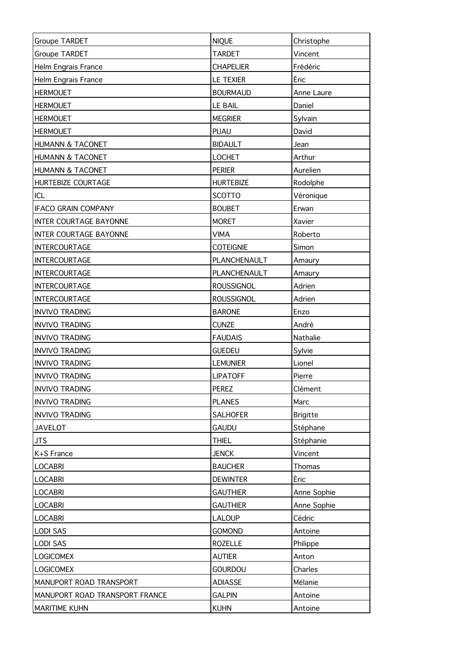| Groupe TARDET                  | <b>NIQUE</b>      | Christophe      |
|--------------------------------|-------------------|-----------------|
| Groupe TARDET                  | <b>TARDET</b>     | Vincent         |
| Helm Engrais France            | <b>CHAPELIER</b>  | Frédéric        |
| Helm Engrais France            | LE TEXIER         | Éric            |
| <b>HERMOUET</b>                | <b>BOURMAUD</b>   | Anne Laure      |
| <b>HERMOUET</b>                | <b>LE BAIL</b>    | Daniel          |
| <b>HERMOUET</b>                | <b>MEGRIER</b>    | Sylvain         |
| <b>HERMOUET</b>                | PUAU              | David           |
| <b>HUMANN &amp; TACONET</b>    | <b>BIDAULT</b>    | Jean            |
| HUMANN & TACONET               | <b>LOCHET</b>     | Arthur          |
| HUMANN & TACONET               | <b>PERIER</b>     | Aurelien        |
| HURTEBIZE COURTAGE             | <b>HURTEBIZE</b>  | Rodolphe        |
| ICL                            | <b>SCOTTO</b>     | Véronique       |
| <b>IFACO GRAIN COMPANY</b>     | <b>BOUBET</b>     | Erwan           |
| <b>INTER COURTAGE BAYONNE</b>  | <b>MORET</b>      | Xavier          |
| <b>INTER COURTAGE BAYONNE</b>  | <b>VIMA</b>       | Roberto         |
| <b>INTERCOURTAGE</b>           | <b>COTEIGNIE</b>  | Simon           |
| <b>INTERCOURTAGE</b>           | PLANCHENAULT      | Amaury          |
| <b>INTERCOURTAGE</b>           | PLANCHENAULT      | Amaury          |
| <b>INTERCOURTAGE</b>           | <b>ROUSSIGNOL</b> | Adrien          |
| <b>INTERCOURTAGE</b>           | <b>ROUSSIGNOL</b> | Adrien          |
| <b>INVIVO TRADING</b>          | <b>BARONE</b>     | Enzo            |
| <b>INVIVO TRADING</b>          | <b>CUNZE</b>      | André           |
| <b>INVIVO TRADING</b>          | <b>FAUDAIS</b>    | Nathalie        |
| <b>INVIVO TRADING</b>          | <b>GUEDEU</b>     | Sylvie          |
| <b>INVIVO TRADING</b>          | <b>LEMUNIER</b>   | Lionel          |
| <b>INVIVO TRADING</b>          | <b>LIPATOFF</b>   | Pierre          |
| <b>INVIVO TRADING</b>          | <b>PEREZ</b>      | Clément         |
| <b>INVIVO TRADING</b>          | <b>PLANES</b>     | Marc            |
| <b>INVIVO TRADING</b>          | <b>SALHOFER</b>   | <b>Brigitte</b> |
| <b>JAVELOT</b>                 | <b>GAUDU</b>      | Stéphane        |
| <b>JTS</b>                     | <b>THIEL</b>      | Stéphanie       |
| K+S France                     | <b>JENCK</b>      | Vincent         |
| <b>LOCABRI</b>                 | <b>BAUCHER</b>    | Thomas          |
| <b>LOCABRI</b>                 | <b>DEWINTER</b>   | Éric            |
| <b>LOCABRI</b>                 | <b>GAUTHIER</b>   | Anne Sophie     |
| <b>LOCABRI</b>                 | <b>GAUTHIER</b>   | Anne Sophie     |
| <b>LOCABRI</b>                 | <b>LALOUP</b>     | Cédric          |
| <b>LODI SAS</b>                | <b>GOMOND</b>     | Antoine         |
| <b>LODI SAS</b>                | <b>ROZELLE</b>    | Philippe        |
| <b>LOGICOMEX</b>               | <b>AUTIER</b>     | Anton           |
| <b>LOGICOMEX</b>               | <b>GOURDOU</b>    | Charles         |
| MANUPORT ROAD TRANSPORT        | <b>ADIASSE</b>    | Mélanie         |
| MANUPORT ROAD TRANSPORT FRANCE | <b>GALPIN</b>     | Antoine         |
| MARITIME KUHN                  | <b>KUHN</b>       | Antoine         |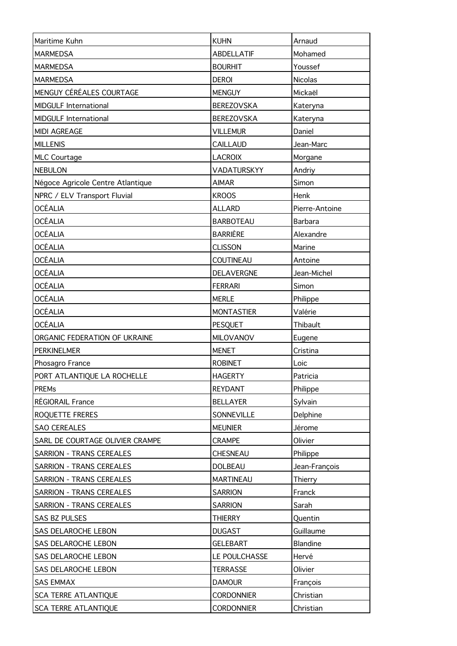| Maritime Kuhn                     | <b>KUHN</b>       | Arnaud         |
|-----------------------------------|-------------------|----------------|
| <b>MARMEDSA</b>                   | <b>ABDELLATIF</b> | Mohamed        |
| <b>MARMEDSA</b>                   | <b>BOURHIT</b>    | Youssef        |
| <b>MARMEDSA</b>                   | <b>DEROI</b>      | Nicolas        |
| MENGUY CÉRÉALES COURTAGE          | <b>MENGUY</b>     | Mickaël        |
| <b>MIDGULF International</b>      | <b>BEREZOVSKA</b> | Kateryna       |
| <b>MIDGULF International</b>      | <b>BEREZOVSKA</b> | Kateryna       |
| <b>MIDI AGREAGE</b>               | <b>VILLEMUR</b>   | Daniel         |
| <b>MILLENIS</b>                   | <b>CAILLAUD</b>   | Jean-Marc      |
| <b>MLC Courtage</b>               | <b>LACROIX</b>    | Morgane        |
| <b>NEBULON</b>                    | VADATURSKYY       | Andriy         |
| Négoce Agricole Centre Atlantique | <b>AIMAR</b>      | Simon          |
| NPRC / ELV Transport Fluvial      | <b>KROOS</b>      | Henk           |
| <b>OCÉALIA</b>                    | <b>ALLARD</b>     | Pierre-Antoine |
| <b>OCÉALIA</b>                    | <b>BARBOTEAU</b>  | Barbara        |
| <b>OCÉALIA</b>                    | <b>BARRIÈRE</b>   | Alexandre      |
| <b>OCÉALIA</b>                    | <b>CLISSON</b>    | Marine         |
| <b>OCÉALIA</b>                    | COUTINEAU         | Antoine        |
| OCÉALIA                           | DELAVERGNE        | Jean-Michel    |
| <b>OCÉALIA</b>                    | <b>FERRARI</b>    | Simon          |
| <b>OCÉALIA</b>                    | <b>MERLE</b>      | Philippe       |
| <b>OCÉALIA</b>                    | <b>MONTASTIER</b> | Valérie        |
| <b>OCÉALIA</b>                    | PESQUET           | Thibault       |
| ORGANIC FEDERATION OF UKRAINE     | MILOVANOV         | Eugene         |
| <b>PERKINELMER</b>                | <b>MENET</b>      | Cristina       |
| Phosagro France                   | <b>ROBINET</b>    | Loic           |
| PORT ATLANTIQUE LA ROCHELLE       | <b>HAGERTY</b>    | Patricia       |
| <b>PREMs</b>                      | <b>REYDANT</b>    | Philippe       |
| RÉGIORAIL France                  | <b>BELLAYER</b>   | Sylvain        |
| ROQUETTE FRERES                   | SONNEVILLE        | Delphine       |
| SAO CEREALES                      | <b>MEUNIER</b>    | Jérome         |
| SARL DE COURTAGE OLIVIER CRAMPE   | <b>CRAMPE</b>     | Olivier        |
| <b>SARRION - TRANS CEREALES</b>   | CHESNEAU          | Philippe       |
| <b>SARRION - TRANS CEREALES</b>   | <b>DOLBEAU</b>    | Jean-François  |
| <b>SARRION - TRANS CEREALES</b>   | <b>MARTINEAU</b>  | Thierry        |
| <b>SARRION - TRANS CEREALES</b>   | <b>SARRION</b>    | Franck         |
| <b>SARRION - TRANS CEREALES</b>   | <b>SARRION</b>    | Sarah          |
| SAS BZ PULSES                     | <b>THIERRY</b>    | Quentin        |
| SAS DELAROCHE LEBON               | <b>DUGAST</b>     | Guillaume      |
| SAS DELAROCHE LEBON               | <b>GELEBART</b>   | Blandine       |
| SAS DELAROCHE LEBON               | LE POULCHASSE     | Hervé          |
| SAS DELAROCHE LEBON               | <b>TERRASSE</b>   | Olivier        |
| <b>SAS EMMAX</b>                  | <b>DAMOUR</b>     | François       |
| <b>SCA TERRE ATLANTIQUE</b>       | <b>CORDONNIER</b> | Christian      |
| SCA TERRE ATLANTIQUE              | <b>CORDONNIER</b> | Christian      |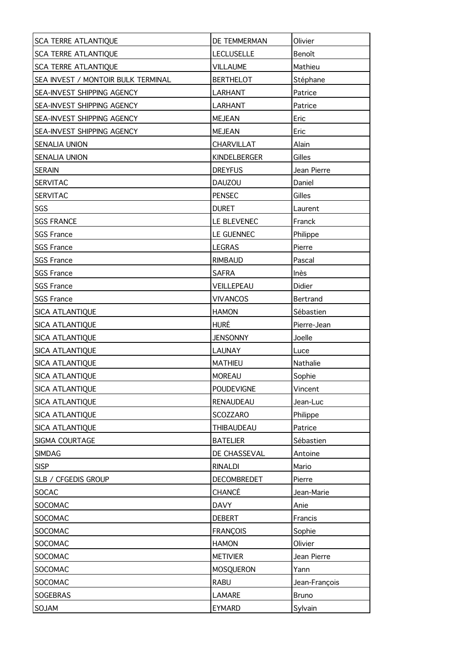| <b>SCA TERRE ATLANTIQUE</b>        | DE TEMMERMAN       | Olivier       |
|------------------------------------|--------------------|---------------|
| SCA TERRE ATLANTIQUE               | <b>LECLUSELLE</b>  | Benoît        |
| <b>SCA TERRE ATLANTIQUE</b>        | <b>VILLAUME</b>    | Mathieu       |
| SEA INVEST / MONTOIR BULK TERMINAL | <b>BERTHELOT</b>   | Stéphane      |
| SEA-INVEST SHIPPING AGENCY         | <b>LARHANT</b>     | Patrice       |
| SEA-INVEST SHIPPING AGENCY         | <b>LARHANT</b>     | Patrice       |
| SEA-INVEST SHIPPING AGENCY         | <b>MEJEAN</b>      | Eric          |
| <b>SEA-INVEST SHIPPING AGENCY</b>  | <b>MEJEAN</b>      | Eric          |
| <b>SENALIA UNION</b>               | <b>CHARVILLAT</b>  | Alain         |
| <b>SENALIA UNION</b>               | KINDELBERGER       | Gilles        |
| <b>SERAIN</b>                      | <b>DREYFUS</b>     | Jean Pierre   |
| <b>SERVITAC</b>                    | <b>DAUZOU</b>      | Daniel        |
| <b>SERVITAC</b>                    | <b>PENSEC</b>      | Gilles        |
| SGS                                | <b>DURET</b>       | Laurent       |
| <b>SGS FRANCE</b>                  | LE BLEVENEC        | Franck        |
| <b>SGS France</b>                  | LE GUENNEC         | Philippe      |
| <b>SGS France</b>                  | <b>LEGRAS</b>      | Pierre        |
| <b>SGS France</b>                  | <b>RIMBAUD</b>     | Pascal        |
| <b>SGS France</b>                  | <b>SAFRA</b>       | Inès          |
| <b>SGS France</b>                  | VEILLEPEAU         | Didier        |
| <b>SGS France</b>                  | <b>VIVANCOS</b>    | Bertrand      |
| SICA ATLANTIQUE                    | <b>HAMON</b>       | Sébastien     |
| <b>SICA ATLANTIQUE</b>             | <b>HURÉ</b>        | Pierre-Jean   |
| SICA ATLANTIQUE                    | <b>JENSONNY</b>    | Joelle        |
| SICA ATLANTIQUE                    | <b>LAUNAY</b>      | Luce          |
| SICA ATLANTIQUE                    | <b>MATHIEU</b>     | Nathalie      |
| SICA_ATLANTIQUE                    | <b>MOREAU</b>      | Sophie        |
| <b>SICA ATLANTIQUE</b>             | <b>POUDEVIGNE</b>  | Vincent       |
| <b>SICA ATLANTIQUE</b>             | RENAUDEAU          | Jean-Luc      |
| <b>SICA ATLANTIQUE</b>             | SCOZZARO           | Philippe      |
| SICA ATLANTIQUE                    | <b>THIBAUDEAU</b>  | Patrice       |
| SIGMA COURTAGE                     | <b>BATELIER</b>    | Sébastien     |
| <b>SIMDAG</b>                      | DE CHASSEVAL       | Antoine       |
| <b>SISP</b>                        | <b>RINALDI</b>     | Mario         |
| SLB / CFGEDIS GROUP                | <b>DECOMBREDET</b> | Pierre        |
| <b>SOCAC</b>                       | CHANCÉ             | Jean-Marie    |
| SOCOMAC                            | <b>DAVY</b>        | Anie          |
| SOCOMAC                            | <b>DEBERT</b>      | Francis       |
| SOCOMAC                            | <b>FRANÇOIS</b>    | Sophie        |
| SOCOMAC                            | <b>HAMON</b>       | Olivier       |
| SOCOMAC                            | <b>METIVIER</b>    | Jean Pierre   |
| SOCOMAC                            | <b>MOSQUERON</b>   | Yann          |
| SOCOMAC                            | <b>RABU</b>        | Jean-François |
| SOGEBRAS                           | <b>LAMARE</b>      | <b>Bruno</b>  |
| SOJAM                              | <b>EYMARD</b>      | Sylvain       |